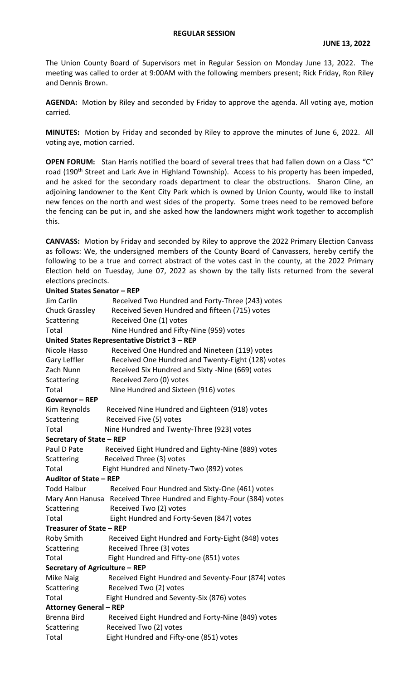The Union County Board of Supervisors met in Regular Session on Monday June 13, 2022. The meeting was called to order at 9:00AM with the following members present; Rick Friday, Ron Riley and Dennis Brown.

**AGENDA:** Motion by Riley and seconded by Friday to approve the agenda. All voting aye, motion carried.

**MINUTES:** Motion by Friday and seconded by Riley to approve the minutes of June 6, 2022. All voting aye, motion carried.

**OPEN FORUM:** Stan Harris notified the board of several trees that had fallen down on a Class "C" road (190<sup>th</sup> Street and Lark Ave in Highland Township). Access to his property has been impeded, and he asked for the secondary roads department to clear the obstructions. Sharon Cline, an adjoining landowner to the Kent City Park which is owned by Union County, would like to install new fences on the north and west sides of the property. Some trees need to be removed before the fencing can be put in, and she asked how the landowners might work together to accomplish this.

**CANVASS:** Motion by Friday and seconded by Riley to approve the 2022 Primary Election Canvass as follows: We, the undersigned members of the County Board of Canvassers, hereby certify the following to be a true and correct abstract of the votes cast in the county, at the 2022 Primary Election held on Tuesday, June 07, 2022 as shown by the tally lists returned from the several elections precincts.

| United States Senator - REP                      |                                                                    |  |  |  |  |
|--------------------------------------------------|--------------------------------------------------------------------|--|--|--|--|
| Jim Carlin                                       | Received Two Hundred and Forty-Three (243) votes                   |  |  |  |  |
| Chuck Grassley                                   | Received Seven Hundred and fifteen (715) votes                     |  |  |  |  |
| Scattering                                       | Received One (1) votes                                             |  |  |  |  |
| Total<br>Nine Hundred and Fifty-Nine (959) votes |                                                                    |  |  |  |  |
|                                                  | United States Representative District 3 - REP                      |  |  |  |  |
| Nicole Hasso                                     | Received One Hundred and Nineteen (119) votes                      |  |  |  |  |
| Gary Leffler                                     | Received One Hundred and Twenty-Eight (128) votes                  |  |  |  |  |
| Zach Nunn                                        | Received Six Hundred and Sixty -Nine (669) votes                   |  |  |  |  |
| Scattering                                       | Received Zero (0) votes                                            |  |  |  |  |
| Total                                            | Nine Hundred and Sixteen (916) votes                               |  |  |  |  |
| <b>Governor-REP</b>                              |                                                                    |  |  |  |  |
| Kim Reynolds                                     | Received Nine Hundred and Eighteen (918) votes                     |  |  |  |  |
| Scattering                                       | Received Five (5) votes                                            |  |  |  |  |
| Total                                            | Nine Hundred and Twenty-Three (923) votes                          |  |  |  |  |
| Secretary of State - REP                         |                                                                    |  |  |  |  |
| Paul D Pate                                      | Received Eight Hundred and Eighty-Nine (889) votes                 |  |  |  |  |
| Scattering                                       | Received Three (3) votes                                           |  |  |  |  |
| Total                                            | Eight Hundred and Ninety-Two (892) votes                           |  |  |  |  |
| Auditor of State - REP                           |                                                                    |  |  |  |  |
| <b>Todd Halbur</b>                               | Received Four Hundred and Sixty-One (461) votes                    |  |  |  |  |
|                                                  | Mary Ann Hanusa Received Three Hundred and Eighty-Four (384) votes |  |  |  |  |
| Scattering                                       | Received Two (2) votes                                             |  |  |  |  |
| Total                                            | Eight Hundred and Forty-Seven (847) votes                          |  |  |  |  |
| Treasurer of State - REP                         |                                                                    |  |  |  |  |
| Roby Smith                                       | Received Eight Hundred and Forty-Eight (848) votes                 |  |  |  |  |
| Scattering                                       | Received Three (3) votes                                           |  |  |  |  |
| Total                                            | Eight Hundred and Fifty-one (851) votes                            |  |  |  |  |
| Secretary of Agriculture - REP                   |                                                                    |  |  |  |  |
| Mike Naig                                        | Received Eight Hundred and Seventy-Four (874) votes                |  |  |  |  |
| Scattering                                       | Received Two (2) votes                                             |  |  |  |  |
| Total                                            | Eight Hundred and Seventy-Six (876) votes                          |  |  |  |  |
| <b>Attorney General - REP</b>                    |                                                                    |  |  |  |  |
| <b>Brenna Bird</b>                               | Received Eight Hundred and Forty-Nine (849) votes                  |  |  |  |  |
| Scattering                                       | Received Two (2) votes                                             |  |  |  |  |
| Total                                            | Eight Hundred and Fifty-one (851) votes                            |  |  |  |  |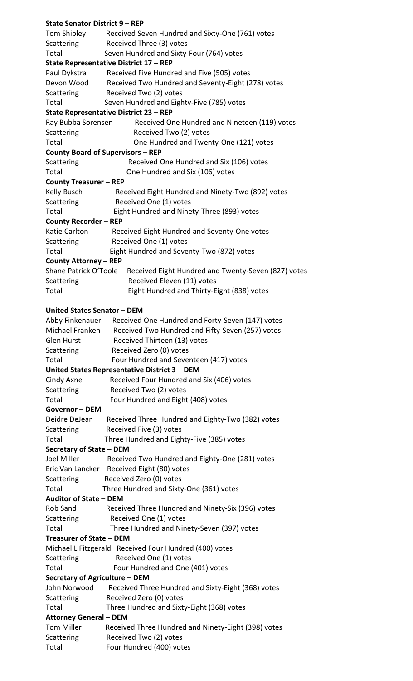| <b>State Senator District 9 - REP</b> |                                                                           |  |  |  |
|---------------------------------------|---------------------------------------------------------------------------|--|--|--|
|                                       | Tom Shipley Received Seven Hundred and Sixty-One (761) votes              |  |  |  |
| Scattering                            | Received Three (3) votes                                                  |  |  |  |
| Total                                 | Seven Hundred and Sixty-Four (764) votes                                  |  |  |  |
|                                       | State Representative District 17 - REP                                    |  |  |  |
| Paul Dykstra                          | Received Five Hundred and Five (505) votes                                |  |  |  |
|                                       | Devon Wood Received Two Hundred and Seventy-Eight (278) votes             |  |  |  |
| <b>Scattering</b>                     | Received Two (2) votes                                                    |  |  |  |
| Total                                 | Seven Hundred and Eighty-Five (785) votes                                 |  |  |  |
|                                       | State Representative District 23 - REP                                    |  |  |  |
| Ray Bubba Sorensen                    | Received One Hundred and Nineteen (119) votes                             |  |  |  |
| Scattering                            | Received Two (2) votes                                                    |  |  |  |
| Total                                 | One Hundred and Twenty-One (121) votes                                    |  |  |  |
|                                       | <b>County Board of Supervisors - REP</b>                                  |  |  |  |
| Scattering                            | Received One Hundred and Six (106) votes                                  |  |  |  |
| Total                                 | One Hundred and Six (106) votes                                           |  |  |  |
| <b>County Treasurer - REP</b>         |                                                                           |  |  |  |
| Kelly Busch                           | Received Eight Hundred and Ninety-Two (892) votes                         |  |  |  |
| Scattering                            | Received One (1) votes                                                    |  |  |  |
| Total                                 | Eight Hundred and Ninety-Three (893) votes                                |  |  |  |
| <b>County Recorder - REP</b>          |                                                                           |  |  |  |
| Katie Carlton                         | Received Eight Hundred and Seventy-One votes                              |  |  |  |
| <b>Scattering</b>                     | Received One (1) votes                                                    |  |  |  |
| Total                                 | Eight Hundred and Seventy-Two (872) votes                                 |  |  |  |
| <b>County Attorney - REP</b>          |                                                                           |  |  |  |
|                                       | Shane Patrick O'Toole Received Eight Hundred and Twenty-Seven (827) votes |  |  |  |
| Scattering                            | Received Eleven (11) votes                                                |  |  |  |
| Total                                 | Eight Hundred and Thirty-Eight (838) votes                                |  |  |  |
|                                       |                                                                           |  |  |  |
| United States Senator - DEM           |                                                                           |  |  |  |
|                                       | Abby Finkenauer Received One Hundred and Forty-Seven (147) votes          |  |  |  |
|                                       | Michael Franken Received Two Hundred and Fifty-Seven (257) votes          |  |  |  |
| Glen Hurst                            | Received Thirteen (13) votes                                              |  |  |  |
| Scattering                            | Received Zero (0) votes                                                   |  |  |  |
| Total                                 | Four Hundred and Seventeen (417) votes                                    |  |  |  |
|                                       | United States Representative District 3 - DEM                             |  |  |  |
| Cindy Axne                            | Received Four Hundred and Six (406) votes                                 |  |  |  |
| <b>Scattering</b>                     | Received Two (2) votes                                                    |  |  |  |
| Total                                 | Four Hundred and Eight (408) votes                                        |  |  |  |
| <b>Governor-DEM</b>                   |                                                                           |  |  |  |
|                                       | Deidre DeJear Received Three Hundred and Eighty-Two (382) votes           |  |  |  |
| <b>Scattering</b>                     | Received Five (3) votes                                                   |  |  |  |
| Total                                 | Three Hundred and Eighty-Five (385) votes                                 |  |  |  |
| Secretary of State - DEM              |                                                                           |  |  |  |
| Joel Miller                           | Received Two Hundred and Eighty-One (281) votes                           |  |  |  |
|                                       | Eric Van Lancker Received Eight (80) votes                                |  |  |  |
| <b>Scattering</b>                     | Received Zero (0) votes                                                   |  |  |  |
| Total                                 | Three Hundred and Sixty-One (361) votes                                   |  |  |  |
| Auditor of State - DEM                |                                                                           |  |  |  |
| Rob Sand                              | Received Three Hundred and Ninety-Six (396) votes                         |  |  |  |
|                                       | Scattering Received One (1) votes                                         |  |  |  |
| Total                                 | Three Hundred and Ninety-Seven (397) votes                                |  |  |  |
| Treasurer of State - DEM              |                                                                           |  |  |  |
|                                       | Michael L Fitzgerald Received Four Hundred (400) votes                    |  |  |  |
| Scattering                            | Received One (1) votes                                                    |  |  |  |
| Total                                 | Four Hundred and One (401) votes                                          |  |  |  |
| Secretary of Agriculture - DEM        |                                                                           |  |  |  |
| John Norwood                          | Received Three Hundred and Sixty-Eight (368) votes                        |  |  |  |
| Scattering                            | Received Zero (0) votes                                                   |  |  |  |
| Total                                 | Three Hundred and Sixty-Eight (368) votes                                 |  |  |  |
| <b>Attorney General - DEM</b>         |                                                                           |  |  |  |
|                                       | Tom Miller Received Three Hundred and Ninety-Eight (398) votes            |  |  |  |
| Scattering                            | Received Two (2) votes                                                    |  |  |  |
| Total                                 | Four Hundred (400) votes                                                  |  |  |  |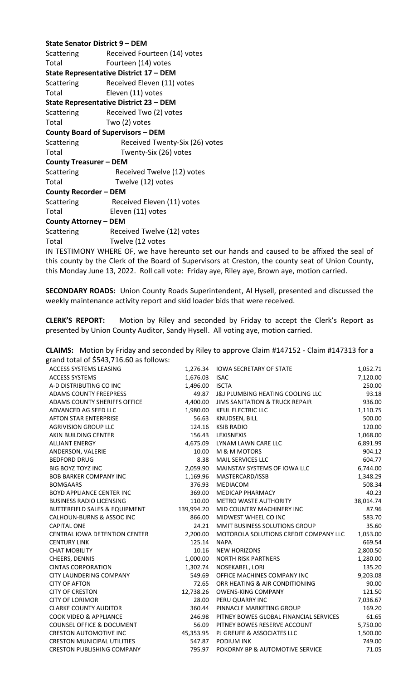| State Senator District 9 - DEM                |                                                                     |  |  |  |
|-----------------------------------------------|---------------------------------------------------------------------|--|--|--|
|                                               | Scattering Received Fourteen (14) votes                             |  |  |  |
| Total                                         | Fourteen (14) votes                                                 |  |  |  |
|                                               | State Representative District 17 - DEM                              |  |  |  |
| Scattering                                    | Received Eleven (11) votes                                          |  |  |  |
| Total                                         | Eleven (11) votes                                                   |  |  |  |
| <b>State Representative District 23 - DEM</b> |                                                                     |  |  |  |
| Scattering                                    | Received Two (2) votes                                              |  |  |  |
| Total                                         | Two (2) votes                                                       |  |  |  |
| <b>County Board of Supervisors - DEM</b>      |                                                                     |  |  |  |
| Scattering                                    | Received Twenty-Six (26) votes                                      |  |  |  |
| Total                                         | Twenty-Six (26) votes                                               |  |  |  |
| <b>County Treasurer - DEM</b>                 |                                                                     |  |  |  |
| Scattering                                    | Received Twelve (12) votes                                          |  |  |  |
| Total                                         | Twelve (12) votes                                                   |  |  |  |
| <b>County Recorder - DEM</b>                  |                                                                     |  |  |  |
| Scattering                                    | Received Eleven (11) votes                                          |  |  |  |
| Total                                         | Eleven (11) votes                                                   |  |  |  |
| <b>County Attorney - DEM</b>                  |                                                                     |  |  |  |
|                                               | Scattering Received Twelve (12) votes                               |  |  |  |
| Total                                         | Twelve (12 votes                                                    |  |  |  |
|                                               | IN TESTIMONY WHERE OF, we have hereunto set our hands and caused to |  |  |  |

be affixed the seal of this county by the Clerk of the Board of Supervisors at Creston, the county seat of Union County, this Monday June 13, 2022. Roll call vote: Friday aye, Riley aye, Brown aye, motion carried.

**SECONDARY ROADS:** Union County Roads Superintendent, Al Hysell, presented and discussed the weekly maintenance activity report and skid loader bids that were received.

**CLERK'S REPORT:** Motion by Riley and seconded by Friday to accept the Clerk's Report as presented by Union County Auditor, Sandy Hysell. All voting aye, motion carried.

| <b>CLAIMS:</b> Motion by Friday and seconded by Riley to approve Claim #147152 - Claim #147313 for a |
|------------------------------------------------------------------------------------------------------|
| grand total of \$543,716.60 as follows:                                                              |

| $\mathsf{g}$ ranu total or $\mathsf{g}$ 543,7 10.00 as follows. |            |                                             |           |
|-----------------------------------------------------------------|------------|---------------------------------------------|-----------|
| ACCESS SYSTEMS LEASING                                          | 1,276.34   | <b>IOWA SECRETARY OF STATE</b>              | 1,052.71  |
| <b>ACCESS SYSTEMS</b>                                           | 1,676.03   | <b>ISAC</b>                                 | 7,120.00  |
| A-D DISTRIBUTING CO INC                                         | 1,496.00   | <b>ISCTA</b>                                | 250.00    |
| <b>ADAMS COUNTY FREEPRESS</b>                                   | 49.87      | <b>J&amp;J PLUMBING HEATING COOLING LLC</b> | 93.18     |
| <b>ADAMS COUNTY SHERIFFS OFFICE</b>                             | 4,400.00   | <b>JIMS SANITATION &amp; TRUCK REPAIR</b>   | 936.00    |
| ADVANCED AG SEED LLC                                            | 1,980.00   | <b>KEUL ELECTRIC LLC</b>                    | 1,110.75  |
| <b>AFTON STAR ENTERPRISE</b>                                    | 56.63      | KNUDSEN, BILL                               | 500.00    |
| <b>AGRIVISION GROUP LLC</b>                                     | 124.16     | <b>KSIB RADIO</b>                           | 120.00    |
| AKIN BUILDING CENTER                                            | 156.43     | LEXISNEXIS                                  | 1,068.00  |
| <b>ALLIANT ENERGY</b>                                           | 4,675.09   | LYNAM LAWN CARE LLC                         | 6,891.99  |
| ANDERSON, VALERIE                                               | 10.00      | M & M MOTORS                                | 904.12    |
| <b>BEDFORD DRUG</b>                                             | 8.38       | MAIL SERVICES LLC                           | 604.77    |
| <b>BIG BOYZ TOYZ INC</b>                                        | 2,059.90   | MAINSTAY SYSTEMS OF IOWA LLC                | 6,744.00  |
| <b>BOB BARKER COMPANY INC</b>                                   | 1,169.96   | MASTERCARD/ISSB                             | 1,348.29  |
| <b>BOMGAARS</b>                                                 | 376.93     | <b>MEDIACOM</b>                             | 508.34    |
| <b>BOYD APPLIANCE CENTER INC</b>                                | 369.00     | <b>MEDICAP PHARMACY</b>                     | 40.23     |
| <b>BUSINESS RADIO LICENSING</b>                                 | 110.00     | <b>METRO WASTE AUTHORITY</b>                | 38,014.74 |
| <b>BUTTERFIELD SALES &amp; EQUIPMENT</b>                        | 139,994.20 | MID COUNTRY MACHINERY INC                   | 87.96     |
| CALHOUN-BURNS & ASSOC INC                                       | 866.00     | MIDWEST WHEEL CO INC                        | 583.70    |
| <b>CAPITAL ONE</b>                                              | 24.21      | MMIT BUSINESS SOLUTIONS GROUP               | 35.60     |
| <b>CENTRAL IOWA DETENTION CENTER</b>                            | 2,200.00   | MOTOROLA SOLUTIONS CREDIT COMPANY LLC       | 1,053.00  |
| <b>CENTURY LINK</b>                                             | 125.14     | <b>NAPA</b>                                 | 669.54    |
| <b>CHAT MOBILITY</b>                                            | 10.16      | <b>NEW HORIZONS</b>                         | 2,800.50  |
| CHEERS, DENNIS                                                  | 1,000.00   | <b>NORTH RISK PARTNERS</b>                  | 1,280.00  |
| <b>CINTAS CORPORATION</b>                                       | 1,302.74   | NOSEKABEL, LORI                             | 135.20    |
| CITY LAUNDERING COMPANY                                         | 549.69     | OFFICE MACHINES COMPANY INC                 | 9,203.08  |
| <b>CITY OF AFTON</b>                                            | 72.65      | ORR HEATING & AIR CONDITIONING              | 90.00     |
| <b>CITY OF CRESTON</b>                                          | 12,738.26  | <b>OWENS-KING COMPANY</b>                   | 121.50    |
| <b>CITY OF LORIMOR</b>                                          | 28.00      | PERU QUARRY INC                             | 7,036.67  |
| <b>CLARKE COUNTY AUDITOR</b>                                    | 360.44     | PINNACLE MARKETING GROUP                    | 169.20    |
| <b>COOK VIDEO &amp; APPLIANCE</b>                               | 246.98     | PITNEY BOWES GLOBAL FINANCIAL SERVICES      | 61.65     |
| <b>COUNSEL OFFICE &amp; DOCUMENT</b>                            | 56.09      | PITNEY BOWES RESERVE ACCOUNT                | 5,750.00  |
| <b>CRESTON AUTOMOTIVE INC</b>                                   | 45,353.95  | PJ GREUFE & ASSOCIATES LLC                  | 1,500.00  |
| <b>CRESTON MUNICIPAL UTILITIES</b>                              | 547.87     | <b>PODIUM INK</b>                           | 749.00    |
| <b>CRESTON PUBLISHING COMPANY</b>                               | 795.97     | POKORNY BP & AUTOMOTIVE SERVICE             | 71.05     |
|                                                                 |            |                                             |           |